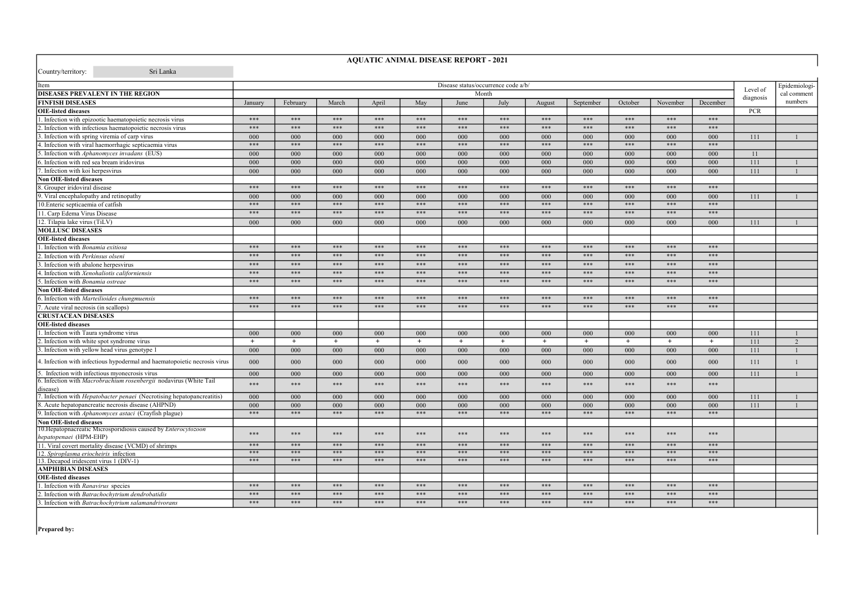| Country/territory: | Sri Lanka |
|--------------------|-----------|

## **AQUATIC ANIMAL DISEASE REPORT - 2021**

| Item                                                                                             |              |              |            |              |              |              | Disease status/occurrence code a/b/ |              |              |              |              |              | Level of    | Epidemiologi-  |
|--------------------------------------------------------------------------------------------------|--------------|--------------|------------|--------------|--------------|--------------|-------------------------------------|--------------|--------------|--------------|--------------|--------------|-------------|----------------|
| DISEASES PREVALENT IN THE REGION                                                                 | Month        |              |            |              |              |              |                                     |              |              |              |              | diagnosis    | cal comment |                |
| <b>FINFISH DISEASES</b>                                                                          | January      | February     | March      | April        | May          | June         | July                                | August       | September    | October      | November     | December     |             | numbers        |
| <b>OIE-listed diseases</b>                                                                       |              |              |            |              |              |              |                                     |              |              |              |              |              | <b>PCR</b>  |                |
| . Infection with epizootic haematopoietic necrosis virus                                         | ***          | ***          | ***        | ***          | ***          | ***          | ***                                 | ***          | $***$        | $***$        | $***$        | $***$        |             |                |
| 2. Infection with infectious haematopoietic necrosis virus                                       | ***          | ***          | ***        | ***          | ***          | ***          | ***                                 | ***          | $***$        | $***$        | $***$        | $***$        |             |                |
| 3. Infection with spring viremia of carp virus                                                   | 000          | 000          | 000        | 000          | 000          | 000          | 000                                 | 000          | 000          | 000          | 000          | 000          | 111         |                |
| 4. Infection with viral haemorrhagic septicaemia virus                                           | $***$        | $***$        | $***$      | $***$        | $***$        | $***$        | $***$                               | ***          | ***          | ***          | ***          | ***          |             |                |
| 5. Infection with Aphanomyces invadans (EUS)                                                     | 000          | 000          | 000        | 000          | 000          | 000          | 000                                 | 000          | 000          | 000          | 000          | 000          | 11          |                |
| 6. Infection with red sea bream iridovirus                                                       | 000          | 000          | 000        | 000          | 000          | $000 \,$     | $000 \,$                            | $000 -$      | $000 -$      | 000          | 000          | 000          | 111         |                |
| 7. Infection with koi herpesvirus                                                                | 000          | 000          | 000        | 000          | 000          | 000          | 000                                 | 000          | 000          | 000          | 000          | 000          | 111         | $\overline{1}$ |
| <b>Non OIE-listed diseases</b>                                                                   |              |              |            |              |              |              |                                     |              |              |              |              |              |             |                |
| 8. Grouper iridoviral disease                                                                    | $***$        | $***$        | $***$      | $***$        | $***$        | $***$        | $***$                               | $***$        | $***$        | $***$        | $***$        | $***$        |             |                |
| 9. Viral encephalopathy and retinopathy                                                          | 000          | 000          | 000        | 000          | 000          | 000          | 000                                 | 000          | 000          | 000          | 000          | 000          | 111         |                |
| 10. Enteric septicaemia of catfish                                                               | $***$        | $***$        | ***        | $***$        | $***$        | $***$        | $***$                               | $***$        | $***$        | ***          | ***          | ***          |             |                |
| 11. Carp Edema Virus Disease                                                                     | ***          | ***          | ***        | $***$        | $***$        | $***$        | $***$                               | $***$        | $***$        | $***$        | $***$        | $***$        |             |                |
| 12. Tilapia lake virus (TiLV)                                                                    | 000          | 000          | 000        | 000          | 000          | 000          | 000                                 | 000          | 000          | 000          | 000          | 000          | 111         |                |
| <b>MOLLUSC DISEASES</b>                                                                          |              |              |            |              |              |              |                                     |              |              |              |              |              |             |                |
| <b>OIE-listed diseases</b>                                                                       |              |              |            |              |              |              |                                     |              |              |              |              |              |             |                |
| . Infection with Bonamia exitiosa                                                                | ***          | ***          | $***$      | $***$        | $***$        | $***$        | $***$                               | $***$        | $***$        | $***$        | $***$        | $***$        |             |                |
| . Infection with Perkinsus olseni                                                                | $***$        | ***          | ***        | $***$        | $***$        | $***$        | $***$                               | $***$        | $***$        | $***$        | $***$        | $***$        |             |                |
| . Infection with abalone herpesvirus                                                             | ***          | ***          | ***        | $***$        | $***$        | $***$        | $***$                               | $***$        | $***$        | $***$        | $***$        | $***$        |             |                |
| . Infection with Xenohaliotis californiensis                                                     | $***$        | $***$        | $***$      | $***$        | $***$        | $***$        | $***$                               | $***$        | $***$        | $***$        | $***$        | $***$        |             |                |
| 5. Infection with <i>Bonamia ostreae</i>                                                         | ***          | $***$        | $***$      | $***$        | $***$        | $***$        | ***                                 | $***$        | $***$        | $***$        | $***$        | $***$        |             |                |
| <b>Non OIE-listed diseases</b>                                                                   |              |              |            |              |              |              |                                     |              |              |              |              |              |             |                |
| 6. Infection with Marteilioides chungmuensis                                                     | ***          | ***          | ***        | $***$        | $***$        | $***$        | $***$                               | $***$        | $***$        | $***$        | $***$        | $***$        |             |                |
| Acute viral necrosis (in scallops)                                                               | ***          | ***          | ***        | $***$        | $***$        | $***$        | $***$                               | $***$        | $***$        | $***$        | $***$        | $***$        |             |                |
| <b>CRUSTACEAN DISEASES</b>                                                                       |              |              |            |              |              |              |                                     |              |              |              |              |              |             |                |
|                                                                                                  |              |              |            |              |              |              |                                     |              |              |              |              |              |             |                |
| <b>OIE-listed diseases</b>                                                                       |              |              |            |              |              |              |                                     |              |              |              |              |              |             |                |
| . Infection with Taura syndrome virus                                                            | 000          | 000          | 000        | 000          | 000          | 000          | 000                                 | 000          | 000          | 000          | 000          | 000          | 111         |                |
| . Infection with white spot syndrome virus                                                       | $^{+}$       | $^{+}$       | $+$        | $+$          | $+$          | $+$          | $^{+}$                              | $^{+}$       | $^{+}$       | $^{+}$       | $+$          | $+$          | 111         | $\mathcal{L}$  |
| . Infection with yellow head virus genotype 1                                                    | 000          | 000          | 000        | 000          | 000          | 000          | 000                                 | 000          | 000          | 000          | 000          | 000          | 111         |                |
| 4. Infection with infectious hypodermal and haematopoietic necrosis virus                        | 000          | 000          | 000        | 000          | 000          | 000          | 000                                 | 000          | 000          | 000          | 000          | 000          | 111         |                |
| 5. Infection with infectious myonecrosis virus                                                   | 000          | 000          | 000        | 000          | 000          | 000          | 000                                 | 000          | 000          | 000          | 000          | 000          | 111         |                |
| 6. Infection with <i>Macrobrachium rosenbergii</i> nodavirus (White Tail                         | ***          | ***          | ***        | $***$        | $***$        | $***$        | $***$                               | $***$        | $***$        | $***$        | $***$        | $***$        |             |                |
| disease)                                                                                         |              |              |            |              |              |              |                                     |              |              |              |              |              |             |                |
| I. Infection with <i>Hepatobacter penaei</i> (Necrotising hepatopancreatitis)                    | 000          | 000          | 000        | 000          | 000          | 000          | 000                                 | 000          | 000          | 000          | 000          | 000          | 111         |                |
| 8. Acute hepatopancreatic necrosis disease (AHPND)                                               | 000<br>$***$ | 000<br>$***$ | 000<br>*** | 000<br>$***$ | 000<br>$***$ | 000<br>$***$ | 000<br>$***$                        | 000<br>$***$ | 000<br>$***$ | 000<br>$***$ | 000<br>$***$ | 000<br>$***$ | 111         |                |
| 9. Infection with Aphanomyces astaci (Crayfish plague)                                           |              |              |            |              |              |              |                                     |              |              |              |              |              |             |                |
| <b>Non OIE-listed diseases</b><br>10. Hepatopnacreatic Microsporidiosis caused by Enterocytozoon |              |              |            |              |              |              |                                     |              |              |              |              |              |             |                |
| hepatopenaei (HPM-EHP)                                                                           | ***          | ***          | ***        | ***          | ***          | ***          | ***                                 | ***          | $***$        | $***$        | $***$        | $***$        |             |                |
| 11. Viral covert mortality disease (VCMD) of shrimps                                             | ***          | ***          | ***        | ***          | ***          | ***          | ***                                 | ***          | ***          | ***          | ***          | ***          |             |                |
| 12. Spiroplasma eriocheiris infection                                                            | ***          | ***          | ***        | $***$        | $***$        | ***          | ***                                 | ***          | $***$        | ***          | ***          | ***          |             |                |
| 13. Decapod iridescent virus 1 (DIV-1)                                                           | ***          | ***          | ***        | $***$        | $***$        | ***          | ***                                 | ***          | ***          | $***$        | $***$        | $***$        |             |                |
| AMPHIBIAN DISEASES                                                                               |              |              |            |              |              |              |                                     |              |              |              |              |              |             |                |
| <b>OIE-listed diseases</b>                                                                       |              |              |            |              |              |              |                                     |              |              |              |              |              |             |                |
| . Infection with Ranavirus species                                                               | $***$        | ***          | ***        | ***          | ***          | ***          | ***                                 | ***          | $***$        | $***$        | $***$        | $***$        |             |                |
| 2. Infection with Batrachochytrium dendrobatidis                                                 | $***$        | $***$        | ***        | $***$        | $***$        | $***$        | $***$                               | $***$        | $***$        | $***$        | $***$        | $***$        |             |                |
| 3. Infection with Batrachochytrium salamandrivorans                                              | ***          | $***$        | $***$      | $***$        | $***$        | $***$        | $***$                               | $***$        | $***$        | $***$        | $***$        | $***$        |             |                |

Prepared by: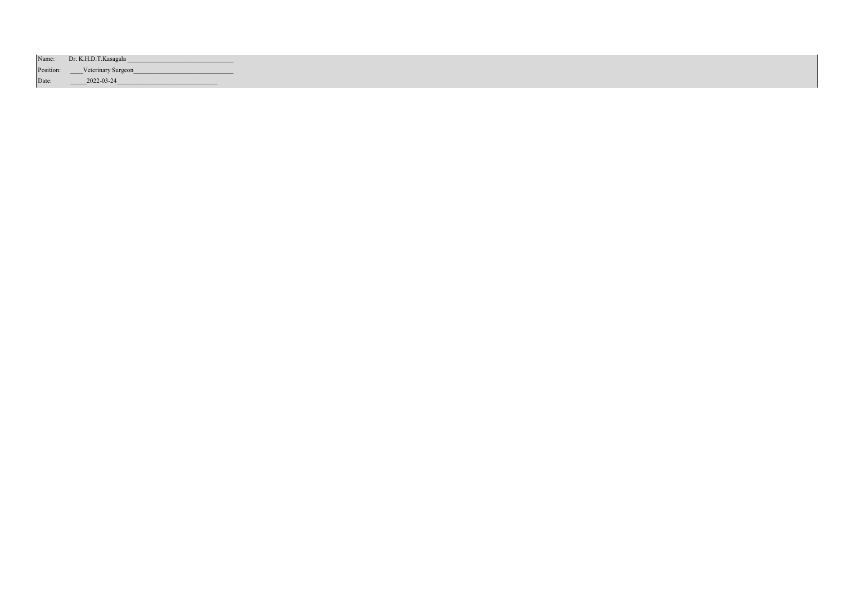|           | Name: Dr. K.H.D.T. Kasagala |
|-----------|-----------------------------|
| Position: | <b>Veterinary Surgeon</b>   |
| Date:     | 2022-03-24                  |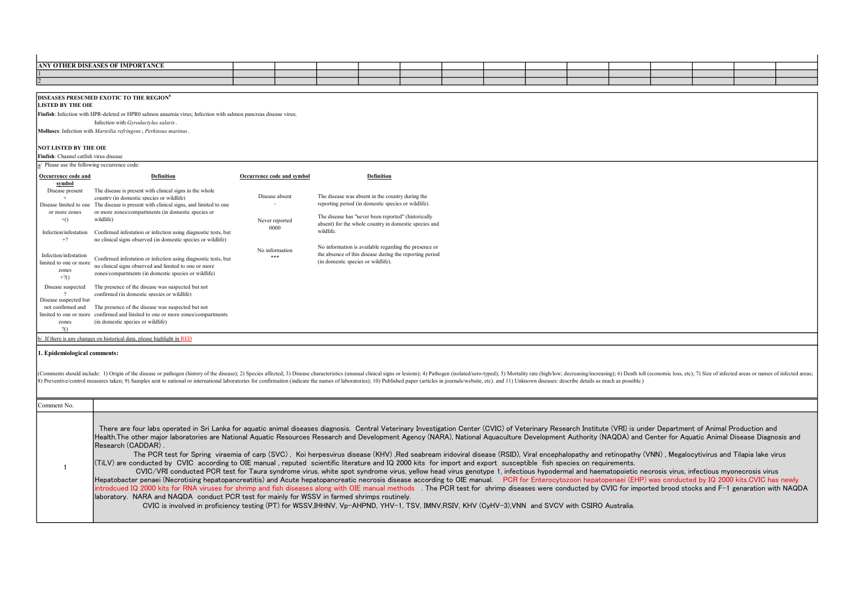|                                                | <b>ANY OTHER DISEASES OF IMPORTANCE</b>                                                                                             |                            |                                                     |                                                         |  |  |  |  |  |
|------------------------------------------------|-------------------------------------------------------------------------------------------------------------------------------------|----------------------------|-----------------------------------------------------|---------------------------------------------------------|--|--|--|--|--|
|                                                |                                                                                                                                     |                            |                                                     |                                                         |  |  |  |  |  |
| $\overline{2}$                                 |                                                                                                                                     |                            |                                                     |                                                         |  |  |  |  |  |
|                                                |                                                                                                                                     |                            |                                                     |                                                         |  |  |  |  |  |
|                                                | DISEASES PRESUMED EXOTIC TO THE REGION <sup>b</sup>                                                                                 |                            |                                                     |                                                         |  |  |  |  |  |
| <b>LISTED BY THE OIE</b>                       |                                                                                                                                     |                            |                                                     |                                                         |  |  |  |  |  |
|                                                | Finfish: Infection with HPR-deleted or HPR0 salmon anaemia virus; Infection with salmon pancreas disease virus;                     |                            |                                                     |                                                         |  |  |  |  |  |
|                                                | Infection with Gyrodactylus salaris.                                                                                                |                            |                                                     |                                                         |  |  |  |  |  |
|                                                | Molluses: Infection with Marteilia refringens; Perkinsus marinus.                                                                   |                            |                                                     |                                                         |  |  |  |  |  |
|                                                |                                                                                                                                     |                            |                                                     |                                                         |  |  |  |  |  |
| <b>NOT LISTED BY THE OIE</b>                   |                                                                                                                                     |                            |                                                     |                                                         |  |  |  |  |  |
| Finfish: Channel catfish virus disease         |                                                                                                                                     |                            |                                                     |                                                         |  |  |  |  |  |
| $a/$ Please use the following occurrence code: |                                                                                                                                     |                            |                                                     |                                                         |  |  |  |  |  |
| Occurrence code and                            | <b>Definition</b>                                                                                                                   | Occurrence code and symbol |                                                     | <b>Definition</b>                                       |  |  |  |  |  |
| symbol                                         |                                                                                                                                     |                            |                                                     |                                                         |  |  |  |  |  |
| Disease present                                | The disease is present with clinical signs in the whole                                                                             | Disease absent             | The disease was absent in the country during the    |                                                         |  |  |  |  |  |
| Disease limited to one                         | country (in domestic species or wildlife)<br>The disease is present with clinical signs, and limited to one                         |                            | reporting period (in domestic species or wildlife). |                                                         |  |  |  |  |  |
| or more zones                                  | or more zones/compartments (in domestic species or                                                                                  |                            |                                                     |                                                         |  |  |  |  |  |
| $+()$                                          | wildlife)                                                                                                                           | Never reported             | The disease has "never been reported" (historically |                                                         |  |  |  |  |  |
|                                                |                                                                                                                                     | 0000                       |                                                     | absent) for the whole country in domestic species and   |  |  |  |  |  |
| Infection/infestation                          | Confirmed infestation or infection using diagnostic tests, but                                                                      |                            | wildlife.                                           |                                                         |  |  |  |  |  |
| $+?$                                           | no clinical signs observed (in domestic species or wildlife)                                                                        |                            |                                                     | No information is available regarding the presence or   |  |  |  |  |  |
| Infection/infestation                          |                                                                                                                                     | No information             |                                                     | the absence of this disease during the reporting period |  |  |  |  |  |
| limited to one or more                         | Confirmed infestation or infection using diagnostic tests, but                                                                      | ***                        | (in domestic species or wildlife).                  |                                                         |  |  |  |  |  |
| zones                                          | no clinical signs observed and limited to one or more                                                                               |                            |                                                     |                                                         |  |  |  |  |  |
| $+2()$                                         | zones/compartments (in domestic species or wildlife)                                                                                |                            |                                                     |                                                         |  |  |  |  |  |
| Disease suspected                              | The presence of the disease was suspected but not                                                                                   |                            |                                                     |                                                         |  |  |  |  |  |
|                                                | confirmed (in domestic species or wildlife)                                                                                         |                            |                                                     |                                                         |  |  |  |  |  |
| Disease suspected but                          |                                                                                                                                     |                            |                                                     |                                                         |  |  |  |  |  |
| not confirmed and                              | The presence of the disease was suspected but not<br>limited to one or more confirmed and limited to one or more zones/compartments |                            |                                                     |                                                         |  |  |  |  |  |
| zones                                          | (in domestic species or wildlife)                                                                                                   |                            |                                                     |                                                         |  |  |  |  |  |
| 20                                             |                                                                                                                                     |                            |                                                     |                                                         |  |  |  |  |  |

b/ If there is any changes on historical data, please highlight in RED

## 1. Epidemiological comments:

(Comments should include: 1) Origin of the disease or pathogen (history of the disease); 2) Species affected; 3) Disease characteristics (unusual clinical signs or lesions); 4) Pathogen (isolated/sero-typed); 5) Mortality (8) Preventive/control measures taken; 9) Samples sent to national or international laboratories for confirmation (indicate the names of laboratories;); 10) Published paper (articles in journals/website, etc), and 11) Unkn

| Comment No. |                                                                                                                                                                                                                                                                                                                                                                                                                                                                                                                                                                                                                                                                                                                                                                                                                                                                                                                                                                                                                                                                                                                                                                                                                                                                                                                                                                                                                                                                                                                                                                                                                                                                                                                                                                                  |
|-------------|----------------------------------------------------------------------------------------------------------------------------------------------------------------------------------------------------------------------------------------------------------------------------------------------------------------------------------------------------------------------------------------------------------------------------------------------------------------------------------------------------------------------------------------------------------------------------------------------------------------------------------------------------------------------------------------------------------------------------------------------------------------------------------------------------------------------------------------------------------------------------------------------------------------------------------------------------------------------------------------------------------------------------------------------------------------------------------------------------------------------------------------------------------------------------------------------------------------------------------------------------------------------------------------------------------------------------------------------------------------------------------------------------------------------------------------------------------------------------------------------------------------------------------------------------------------------------------------------------------------------------------------------------------------------------------------------------------------------------------------------------------------------------------|
|             | There are four labs operated in Sri Lanka for aquatic animal diseases diagnosis. Central Veterinary Investigation Center (CVIC) of Veterinary Research Institute (VRI) is under Department of Animal Production and<br>Health.The other major laboratories are National Aquatic Resources Research and Development Agency (NARA), National Aquaculture Development Authority (NAQDA) and Center for Aquatic Animal Disease Diagnosis and<br>Research (CADDAR).<br>The PCR test for Spring viraemia of carp (SVC), Koi herpesvirus disease (KHV), Red seabream iridoviral disease (RSID), Viral encephalopathy and retinopathy (VNN), Megalocytivirus and Tilapia lake virus<br>(TiLV) are conducted by CVIC according to OIE manual, reputed scientific literature and IQ 2000 kits for import and export susceptible fish species on requirements.<br>CVIC/VRI conducted PCR test for Taura syndrome virus, white spot syndrome virus, yellow head virus genotype 1, infectious hypodermal and haematopoietic necrosis virus, infectious myonecrosis virus, infectious myonecrosis v<br>Hepatobacter penaei (Necrotising hepatopancreatitis) and Acute hepatopancreatic necrosis disease according to OIE manual. PCR for Enterocytozoon hepatopenaei (EHP) was conducted by IQ 2000 kits.CVIC has newly<br>introdcued IQ 2000 kits for RNA viruses for shrimp and fish diseases along with OIE manual methods The PCR test for shrimp diseases were conducted by CVIC for imported brood stocks and F-1 genaration with NAQDA<br>laboratory. NARA and NAQDA conduct PCR test for mainly for WSSV in farmed shrimps routinely.<br>CVIC is involved in proficiency testing (PT) for WSSV.IHHNV. Vp-AHPND, YHV-1, TSV, IMNV,RSIV, KHV (CvHV-3),VNN and SVCV with CSIRO Australia. |